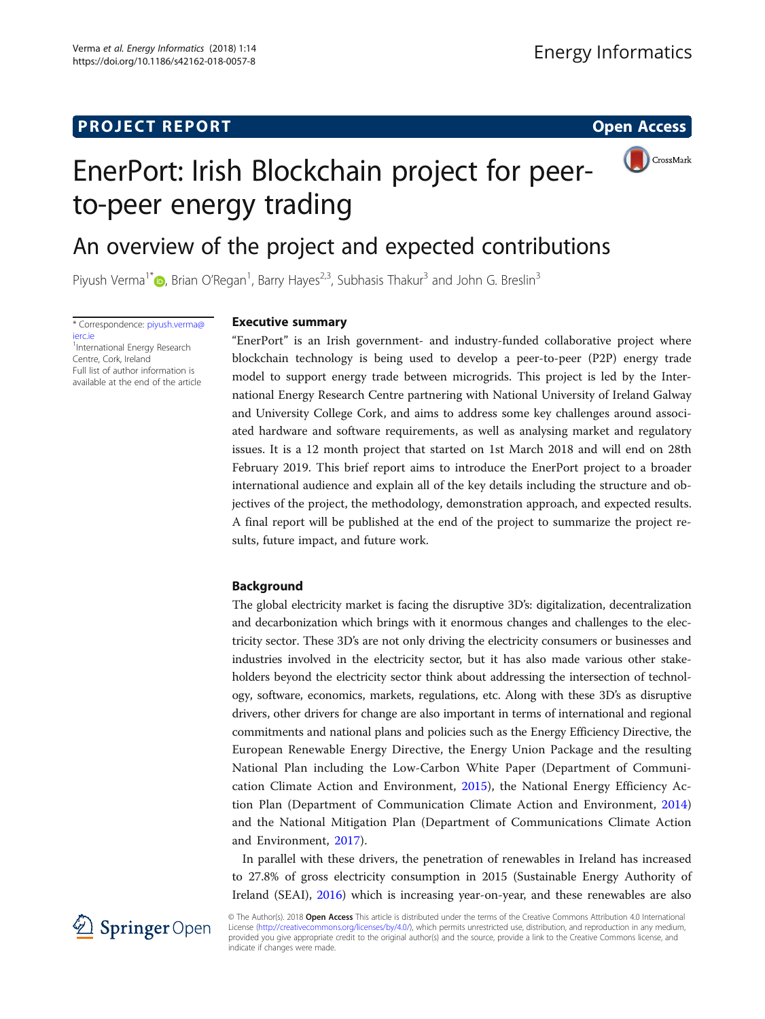# **PROJECT REPORT CONTROLLER IN A SEXUAL CONTROLLER CONTROLLER CONTROLLER CONTROLLER CONTROLLER CONTROLLER CONTROLLER**

# CrossMark EnerPort: Irish Blockchain project for peerto-peer energy trading

# An overview of the project and expected contributions

Piyush Verma<sup>1\*</sup> (**b**[,](http://orcid.org/0000-0002-4961-7672) Brian O'Regan<sup>1</sup>, Barry Hayes<sup>2,3</sup>, Subhasis Thakur<sup>3</sup> and John G. Breslin<sup>3</sup>

\* Correspondence: [piyush.verma@](mailto:piyush.verma@ierc.ie) [ierc.ie](mailto:piyush.verma@ierc.ie) <sup>1</sup>International Energy Research Centre, Cork, Ireland Full list of author information is available at the end of the article

## Executive summary

"EnerPort" is an Irish government- and industry-funded collaborative project where blockchain technology is being used to develop a peer-to-peer (P2P) energy trade model to support energy trade between microgrids. This project is led by the International Energy Research Centre partnering with National University of Ireland Galway and University College Cork, and aims to address some key challenges around associated hardware and software requirements, as well as analysing market and regulatory issues. It is a 12 month project that started on 1st March 2018 and will end on 28th February 2019. This brief report aims to introduce the EnerPort project to a broader international audience and explain all of the key details including the structure and objectives of the project, the methodology, demonstration approach, and expected results. A final report will be published at the end of the project to summarize the project results, future impact, and future work.

## Background

The global electricity market is facing the disruptive 3D's: digitalization, decentralization and decarbonization which brings with it enormous changes and challenges to the electricity sector. These 3D's are not only driving the electricity consumers or businesses and industries involved in the electricity sector, but it has also made various other stakeholders beyond the electricity sector think about addressing the intersection of technology, software, economics, markets, regulations, etc. Along with these 3D's as disruptive drivers, other drivers for change are also important in terms of international and regional commitments and national plans and policies such as the Energy Efficiency Directive, the European Renewable Energy Directive, the Energy Union Package and the resulting National Plan including the Low-Carbon White Paper (Department of Communication Climate Action and Environment, [2015\)](#page-8-0), the National Energy Efficiency Action Plan (Department of Communication Climate Action and Environment, [2014](#page-8-0)) and the National Mitigation Plan (Department of Communications Climate Action and Environment, [2017\)](#page-8-0).

In parallel with these drivers, the penetration of renewables in Ireland has increased to 27.8% of gross electricity consumption in 2015 (Sustainable Energy Authority of Ireland (SEAI), [2016](#page-8-0)) which is increasing year-on-year, and these renewables are also



© The Author(s). 2018 Open Access This article is distributed under the terms of the Creative Commons Attribution 4.0 International License [\(http://creativecommons.org/licenses/by/4.0/](http://creativecommons.org/licenses/by/4.0/)), which permits unrestricted use, distribution, and reproduction in any medium, provided you give appropriate credit to the original author(s) and the source, provide a link to the Creative Commons license, and indicate if changes were made.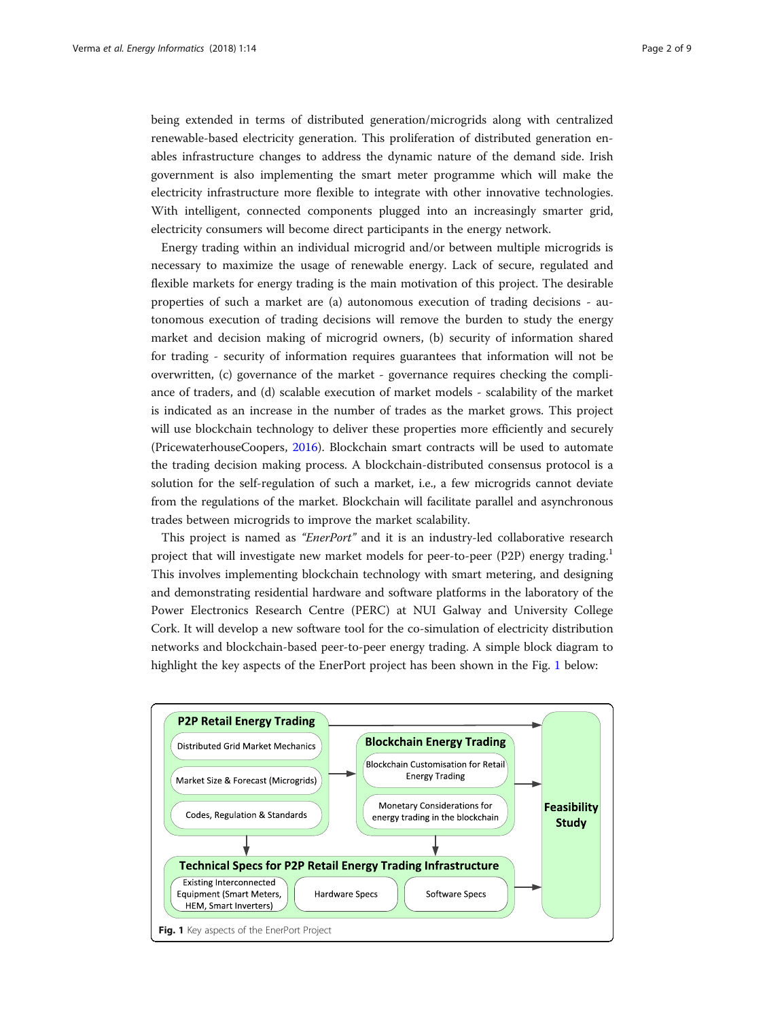being extended in terms of distributed generation/microgrids along with centralized renewable-based electricity generation. This proliferation of distributed generation enables infrastructure changes to address the dynamic nature of the demand side. Irish government is also implementing the smart meter programme which will make the electricity infrastructure more flexible to integrate with other innovative technologies. With intelligent, connected components plugged into an increasingly smarter grid, electricity consumers will become direct participants in the energy network.

Energy trading within an individual microgrid and/or between multiple microgrids is necessary to maximize the usage of renewable energy. Lack of secure, regulated and flexible markets for energy trading is the main motivation of this project. The desirable properties of such a market are (a) autonomous execution of trading decisions - autonomous execution of trading decisions will remove the burden to study the energy market and decision making of microgrid owners, (b) security of information shared for trading - security of information requires guarantees that information will not be overwritten, (c) governance of the market - governance requires checking the compliance of traders, and (d) scalable execution of market models - scalability of the market is indicated as an increase in the number of trades as the market grows. This project will use blockchain technology to deliver these properties more efficiently and securely (PricewaterhouseCoopers, [2016](#page-8-0)). Blockchain smart contracts will be used to automate the trading decision making process. A blockchain-distributed consensus protocol is a solution for the self-regulation of such a market, i.e., a few microgrids cannot deviate from the regulations of the market. Blockchain will facilitate parallel and asynchronous trades between microgrids to improve the market scalability.

This project is named as "EnerPort" and it is an industry-led collaborative research project that will investigate new market models for peer-to-peer (P2P) energy trading.<sup>1</sup> This involves implementing blockchain technology with smart metering, and designing and demonstrating residential hardware and software platforms in the laboratory of the Power Electronics Research Centre (PERC) at NUI Galway and University College Cork. It will develop a new software tool for the co-simulation of electricity distribution networks and blockchain-based peer-to-peer energy trading. A simple block diagram to highlight the key aspects of the EnerPort project has been shown in the Fig. 1 below:

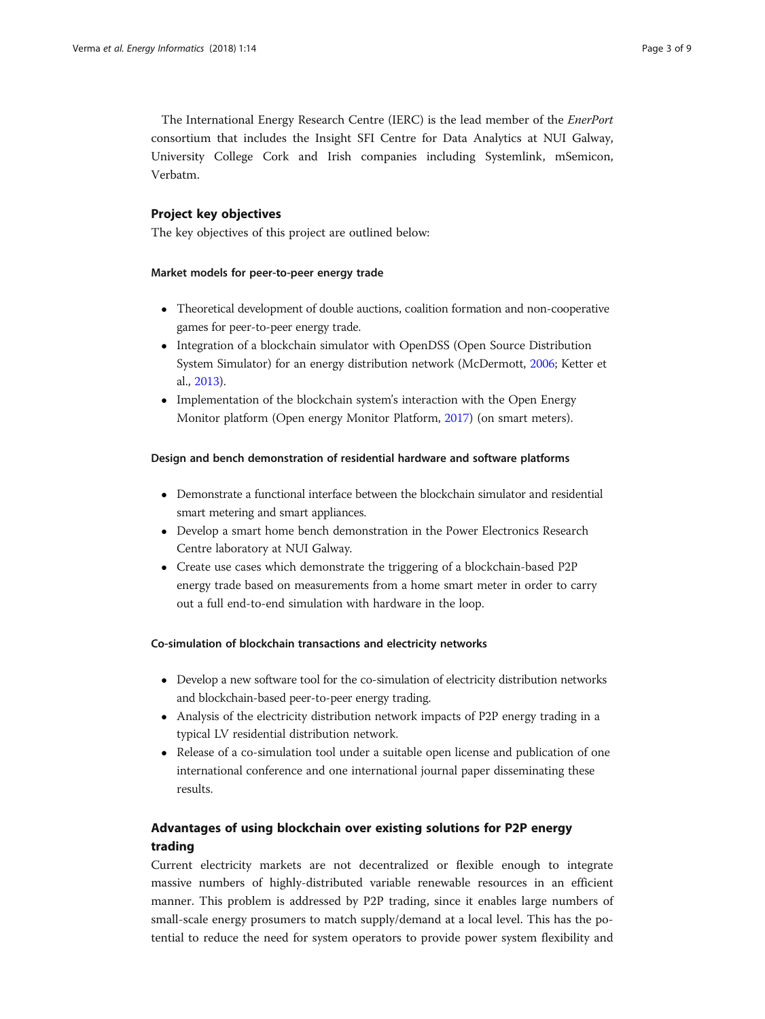The International Energy Research Centre (IERC) is the lead member of the EnerPort consortium that includes the Insight SFI Centre for Data Analytics at NUI Galway, University College Cork and Irish companies including Systemlink, mSemicon, Verbatm.

## Project key objectives

The key objectives of this project are outlined below:

#### Market models for peer-to-peer energy trade

- Theoretical development of double auctions, coalition formation and non-cooperative games for peer-to-peer energy trade.
- Integration of a blockchain simulator with OpenDSS (Open Source Distribution System Simulator) for an energy distribution network (McDermott, [2006](#page-8-0); Ketter et al., [2013\)](#page-8-0).
- Implementation of the blockchain system's interaction with the Open Energy Monitor platform (Open energy Monitor Platform, [2017](#page-8-0)) (on smart meters).

#### Design and bench demonstration of residential hardware and software platforms

- Demonstrate a functional interface between the blockchain simulator and residential smart metering and smart appliances.
- Develop a smart home bench demonstration in the Power Electronics Research Centre laboratory at NUI Galway.
- Create use cases which demonstrate the triggering of a blockchain-based P2P energy trade based on measurements from a home smart meter in order to carry out a full end-to-end simulation with hardware in the loop.

## Co-simulation of blockchain transactions and electricity networks

- Develop a new software tool for the co-simulation of electricity distribution networks and blockchain-based peer-to-peer energy trading.
- Analysis of the electricity distribution network impacts of P2P energy trading in a typical LV residential distribution network.
- Release of a co-simulation tool under a suitable open license and publication of one international conference and one international journal paper disseminating these results.

## Advantages of using blockchain over existing solutions for P2P energy trading

Current electricity markets are not decentralized or flexible enough to integrate massive numbers of highly-distributed variable renewable resources in an efficient manner. This problem is addressed by P2P trading, since it enables large numbers of small-scale energy prosumers to match supply/demand at a local level. This has the potential to reduce the need for system operators to provide power system flexibility and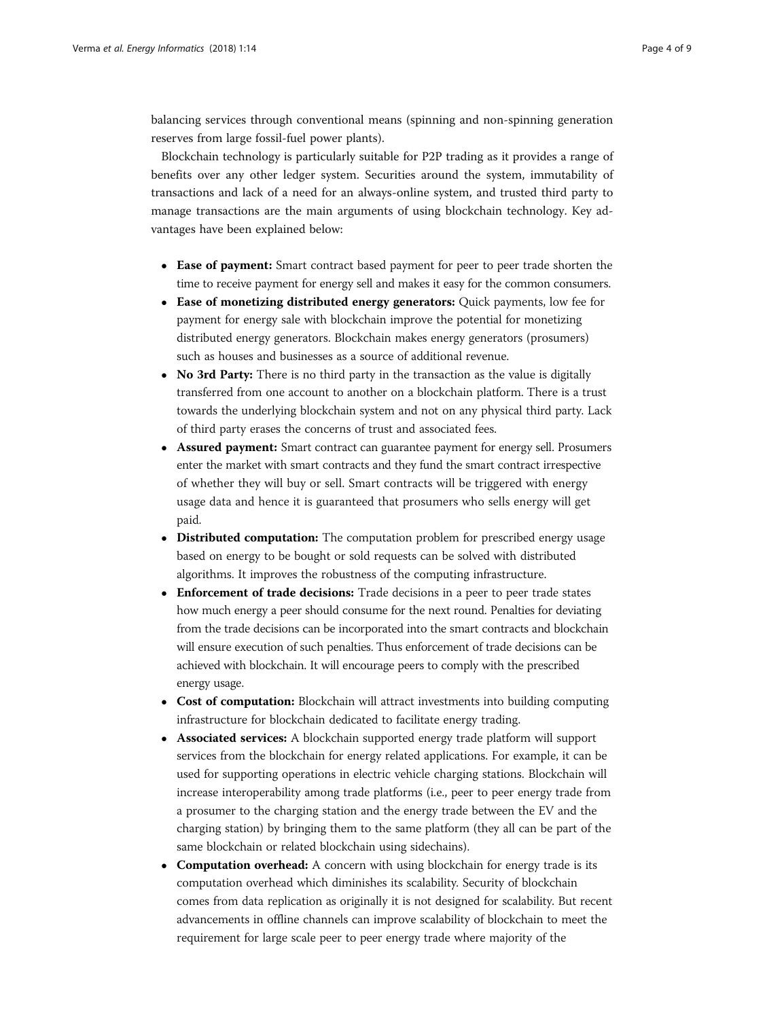balancing services through conventional means (spinning and non-spinning generation reserves from large fossil-fuel power plants).

Blockchain technology is particularly suitable for P2P trading as it provides a range of benefits over any other ledger system. Securities around the system, immutability of transactions and lack of a need for an always-online system, and trusted third party to manage transactions are the main arguments of using blockchain technology. Key advantages have been explained below:

- Ease of payment: Smart contract based payment for peer to peer trade shorten the time to receive payment for energy sell and makes it easy for the common consumers.
- Ease of monetizing distributed energy generators: Quick payments, low fee for payment for energy sale with blockchain improve the potential for monetizing distributed energy generators. Blockchain makes energy generators (prosumers) such as houses and businesses as a source of additional revenue.
- No 3rd Party: There is no third party in the transaction as the value is digitally transferred from one account to another on a blockchain platform. There is a trust towards the underlying blockchain system and not on any physical third party. Lack of third party erases the concerns of trust and associated fees.
- Assured payment: Smart contract can guarantee payment for energy sell. Prosumers enter the market with smart contracts and they fund the smart contract irrespective of whether they will buy or sell. Smart contracts will be triggered with energy usage data and hence it is guaranteed that prosumers who sells energy will get paid.
- Distributed computation: The computation problem for prescribed energy usage based on energy to be bought or sold requests can be solved with distributed algorithms. It improves the robustness of the computing infrastructure.
- Enforcement of trade decisions: Trade decisions in a peer to peer trade states how much energy a peer should consume for the next round. Penalties for deviating from the trade decisions can be incorporated into the smart contracts and blockchain will ensure execution of such penalties. Thus enforcement of trade decisions can be achieved with blockchain. It will encourage peers to comply with the prescribed energy usage.
- Cost of computation: Blockchain will attract investments into building computing infrastructure for blockchain dedicated to facilitate energy trading.
- Associated services: A blockchain supported energy trade platform will support services from the blockchain for energy related applications. For example, it can be used for supporting operations in electric vehicle charging stations. Blockchain will increase interoperability among trade platforms (i.e., peer to peer energy trade from a prosumer to the charging station and the energy trade between the EV and the charging station) by bringing them to the same platform (they all can be part of the same blockchain or related blockchain using sidechains).
- Computation overhead: A concern with using blockchain for energy trade is its computation overhead which diminishes its scalability. Security of blockchain comes from data replication as originally it is not designed for scalability. But recent advancements in offline channels can improve scalability of blockchain to meet the requirement for large scale peer to peer energy trade where majority of the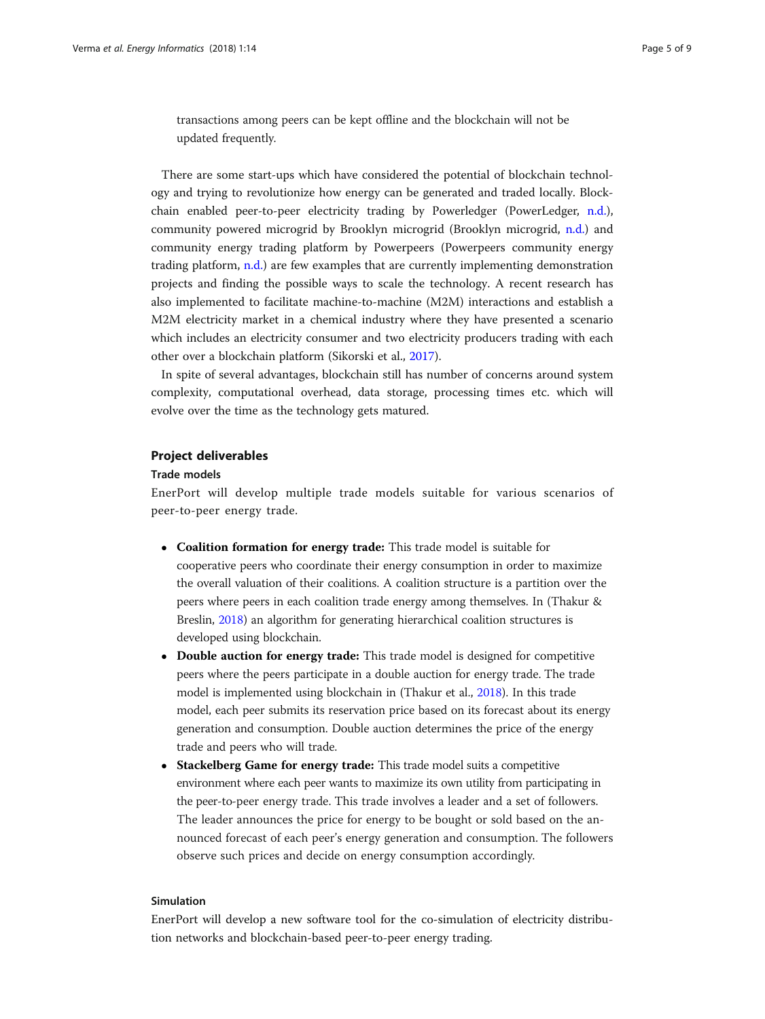transactions among peers can be kept offline and the blockchain will not be updated frequently.

There are some start-ups which have considered the potential of blockchain technology and trying to revolutionize how energy can be generated and traded locally. Blockchain enabled peer-to-peer electricity trading by Powerledger (PowerLedger, [n.d.](#page-8-0)), community powered microgrid by Brooklyn microgrid (Brooklyn microgrid, [n.d.](#page-8-0)) and community energy trading platform by Powerpeers (Powerpeers community energy trading platform, [n.d.\)](#page-8-0) are few examples that are currently implementing demonstration projects and finding the possible ways to scale the technology. A recent research has also implemented to facilitate machine-to-machine (M2M) interactions and establish a M2M electricity market in a chemical industry where they have presented a scenario which includes an electricity consumer and two electricity producers trading with each other over a blockchain platform (Sikorski et al., [2017](#page-8-0)).

In spite of several advantages, blockchain still has number of concerns around system complexity, computational overhead, data storage, processing times etc. which will evolve over the time as the technology gets matured.

### Project deliverables

#### Trade models

EnerPort will develop multiple trade models suitable for various scenarios of peer-to-peer energy trade.

- Coalition formation for energy trade: This trade model is suitable for cooperative peers who coordinate their energy consumption in order to maximize the overall valuation of their coalitions. A coalition structure is a partition over the peers where peers in each coalition trade energy among themselves. In (Thakur & Breslin, [2018\)](#page-8-0) an algorithm for generating hierarchical coalition structures is developed using blockchain.
- Double auction for energy trade: This trade model is designed for competitive peers where the peers participate in a double auction for energy trade. The trade model is implemented using blockchain in (Thakur et al., [2018\)](#page-8-0). In this trade model, each peer submits its reservation price based on its forecast about its energy generation and consumption. Double auction determines the price of the energy trade and peers who will trade.
- Stackelberg Game for energy trade: This trade model suits a competitive environment where each peer wants to maximize its own utility from participating in the peer-to-peer energy trade. This trade involves a leader and a set of followers. The leader announces the price for energy to be bought or sold based on the announced forecast of each peer's energy generation and consumption. The followers observe such prices and decide on energy consumption accordingly.

## Simulation

EnerPort will develop a new software tool for the co-simulation of electricity distribution networks and blockchain-based peer-to-peer energy trading.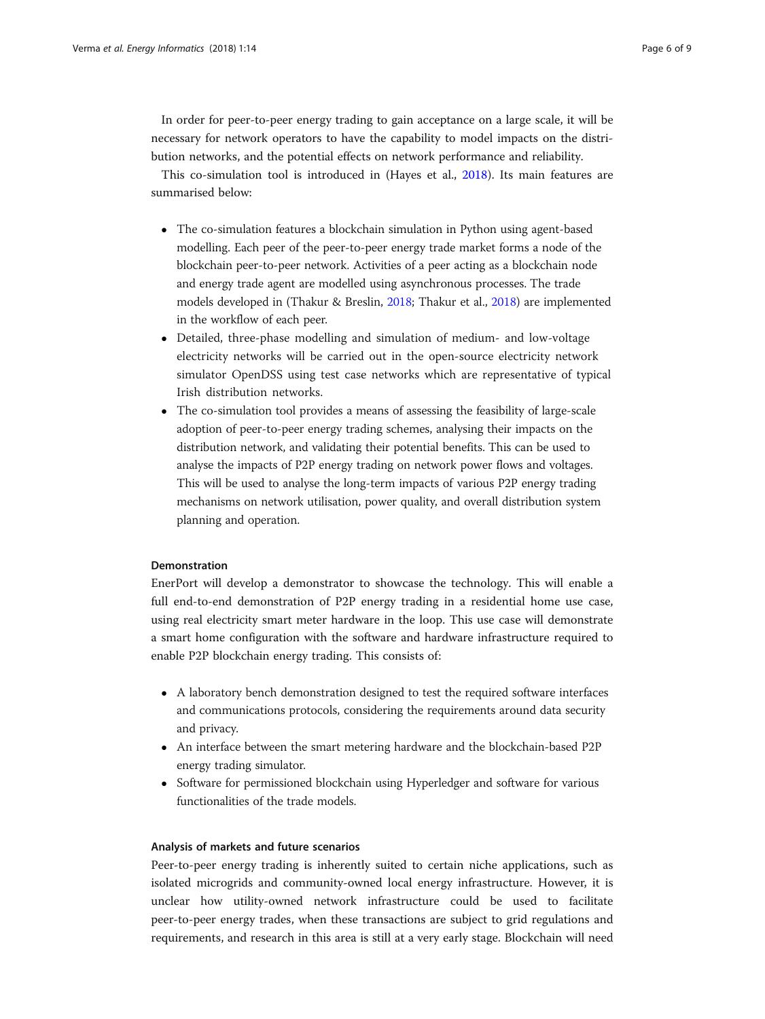In order for peer-to-peer energy trading to gain acceptance on a large scale, it will be necessary for network operators to have the capability to model impacts on the distribution networks, and the potential effects on network performance and reliability.

This co-simulation tool is introduced in (Hayes et al., [2018\)](#page-8-0). Its main features are summarised below:

- The co-simulation features a blockchain simulation in Python using agent-based modelling. Each peer of the peer-to-peer energy trade market forms a node of the blockchain peer-to-peer network. Activities of a peer acting as a blockchain node and energy trade agent are modelled using asynchronous processes. The trade models developed in (Thakur & Breslin, [2018;](#page-8-0) Thakur et al., [2018](#page-8-0)) are implemented in the workflow of each peer.
- Detailed, three-phase modelling and simulation of medium- and low-voltage electricity networks will be carried out in the open-source electricity network simulator OpenDSS using test case networks which are representative of typical Irish distribution networks.
- The co-simulation tool provides a means of assessing the feasibility of large-scale adoption of peer-to-peer energy trading schemes, analysing their impacts on the distribution network, and validating their potential benefits. This can be used to analyse the impacts of P2P energy trading on network power flows and voltages. This will be used to analyse the long-term impacts of various P2P energy trading mechanisms on network utilisation, power quality, and overall distribution system planning and operation.

## Demonstration

EnerPort will develop a demonstrator to showcase the technology. This will enable a full end-to-end demonstration of P2P energy trading in a residential home use case, using real electricity smart meter hardware in the loop. This use case will demonstrate a smart home configuration with the software and hardware infrastructure required to enable P2P blockchain energy trading. This consists of:

- A laboratory bench demonstration designed to test the required software interfaces and communications protocols, considering the requirements around data security and privacy.
- An interface between the smart metering hardware and the blockchain-based P2P energy trading simulator.
- Software for permissioned blockchain using Hyperledger and software for various functionalities of the trade models.

#### Analysis of markets and future scenarios

Peer-to-peer energy trading is inherently suited to certain niche applications, such as isolated microgrids and community-owned local energy infrastructure. However, it is unclear how utility-owned network infrastructure could be used to facilitate peer-to-peer energy trades, when these transactions are subject to grid regulations and requirements, and research in this area is still at a very early stage. Blockchain will need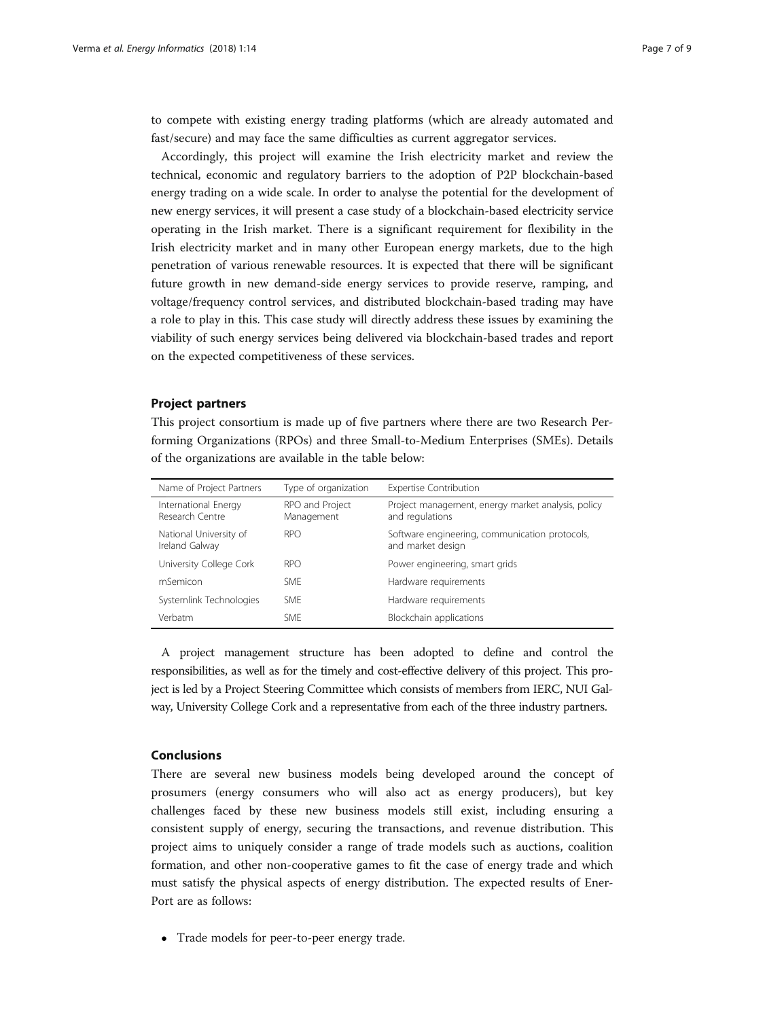to compete with existing energy trading platforms (which are already automated and fast/secure) and may face the same difficulties as current aggregator services.

Accordingly, this project will examine the Irish electricity market and review the technical, economic and regulatory barriers to the adoption of P2P blockchain-based energy trading on a wide scale. In order to analyse the potential for the development of new energy services, it will present a case study of a blockchain-based electricity service operating in the Irish market. There is a significant requirement for flexibility in the Irish electricity market and in many other European energy markets, due to the high penetration of various renewable resources. It is expected that there will be significant future growth in new demand-side energy services to provide reserve, ramping, and voltage/frequency control services, and distributed blockchain-based trading may have a role to play in this. This case study will directly address these issues by examining the viability of such energy services being delivered via blockchain-based trades and report on the expected competitiveness of these services.

## Project partners

This project consortium is made up of five partners where there are two Research Performing Organizations (RPOs) and three Small-to-Medium Enterprises (SMEs). Details of the organizations are available in the table below:

| Name of Project Partners                 | Type of organization          | <b>Expertise Contribution</b>                                         |
|------------------------------------------|-------------------------------|-----------------------------------------------------------------------|
| International Energy<br>Research Centre  | RPO and Project<br>Management | Project management, energy market analysis, policy<br>and regulations |
| National University of<br>Ireland Galway | <b>RPO</b>                    | Software engineering, communication protocols,<br>and market design   |
| University College Cork                  | <b>RPO</b>                    | Power engineering, smart grids                                        |
| mSemicon                                 | <b>SMF</b>                    | Hardware requirements                                                 |
| Systemlink Technologies                  | <b>SMF</b>                    | Hardware requirements                                                 |
| Verbatm                                  | <b>SMF</b>                    | Blockchain applications                                               |

A project management structure has been adopted to define and control the responsibilities, as well as for the timely and cost-effective delivery of this project. This project is led by a Project Steering Committee which consists of members from IERC, NUI Galway, University College Cork and a representative from each of the three industry partners.

#### Conclusions

There are several new business models being developed around the concept of prosumers (energy consumers who will also act as energy producers), but key challenges faced by these new business models still exist, including ensuring a consistent supply of energy, securing the transactions, and revenue distribution. This project aims to uniquely consider a range of trade models such as auctions, coalition formation, and other non-cooperative games to fit the case of energy trade and which must satisfy the physical aspects of energy distribution. The expected results of Ener-Port are as follows:

Trade models for peer-to-peer energy trade.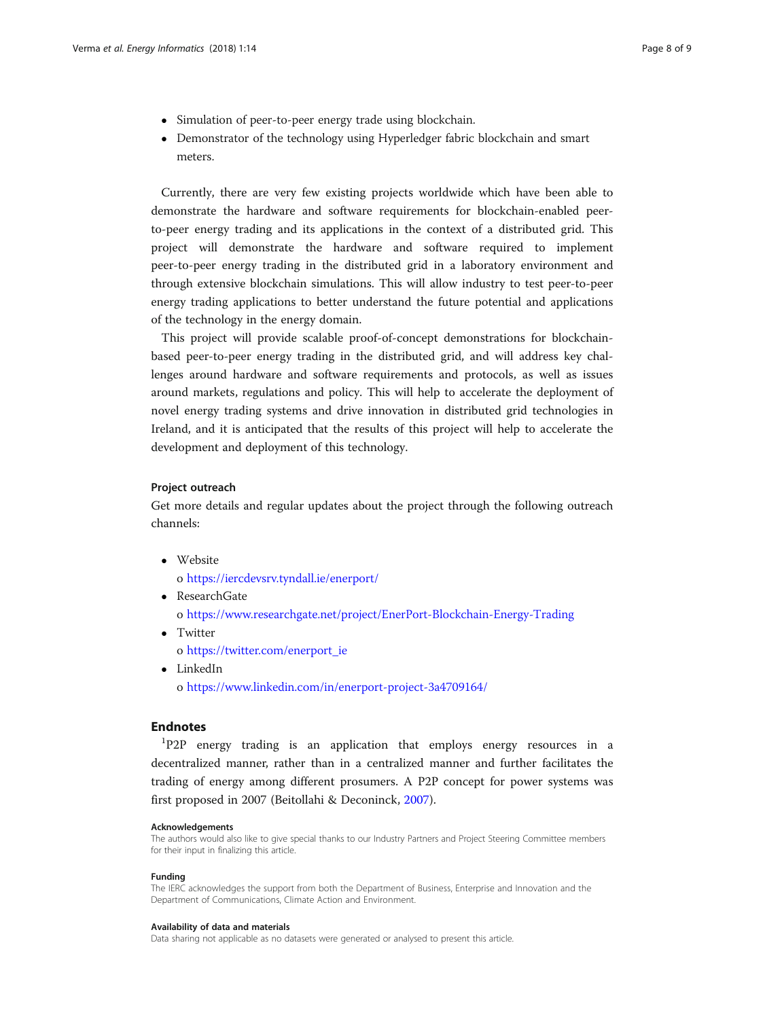- Simulation of peer-to-peer energy trade using blockchain.
- Demonstrator of the technology using Hyperledger fabric blockchain and smart meters.

Currently, there are very few existing projects worldwide which have been able to demonstrate the hardware and software requirements for blockchain-enabled peerto-peer energy trading and its applications in the context of a distributed grid. This project will demonstrate the hardware and software required to implement peer-to-peer energy trading in the distributed grid in a laboratory environment and through extensive blockchain simulations. This will allow industry to test peer-to-peer energy trading applications to better understand the future potential and applications of the technology in the energy domain.

This project will provide scalable proof-of-concept demonstrations for blockchainbased peer-to-peer energy trading in the distributed grid, and will address key challenges around hardware and software requirements and protocols, as well as issues around markets, regulations and policy. This will help to accelerate the deployment of novel energy trading systems and drive innovation in distributed grid technologies in Ireland, and it is anticipated that the results of this project will help to accelerate the development and deployment of this technology.

#### Project outreach

Get more details and regular updates about the project through the following outreach channels:

• Website

o <https://iercdevsrv.tyndall.ie/enerport/>

• ResearchGate

o <https://www.researchgate.net/project/EnerPort-Blockchain-Energy-Trading>

• Twitter

o [https://twitter.com/enerport\\_ie](https://twitter.com/enerport_ie)

LinkedIn

o <https://www.linkedin.com/in/enerport-project-3a4709164/>

## Endnotes

<sup>1</sup>P2P energy trading is an application that employs energy resources in a decentralized manner, rather than in a centralized manner and further facilitates the trading of energy among different prosumers. A P2P concept for power systems was first proposed in 2007 (Beitollahi & Deconinck, [2007](#page-8-0)).

#### Acknowledgements

The authors would also like to give special thanks to our Industry Partners and Project Steering Committee members for their input in finalizing this article.

#### Funding

The IERC acknowledges the support from both the Department of Business, Enterprise and Innovation and the Department of Communications, Climate Action and Environment.

#### Availability of data and materials

Data sharing not applicable as no datasets were generated or analysed to present this article.